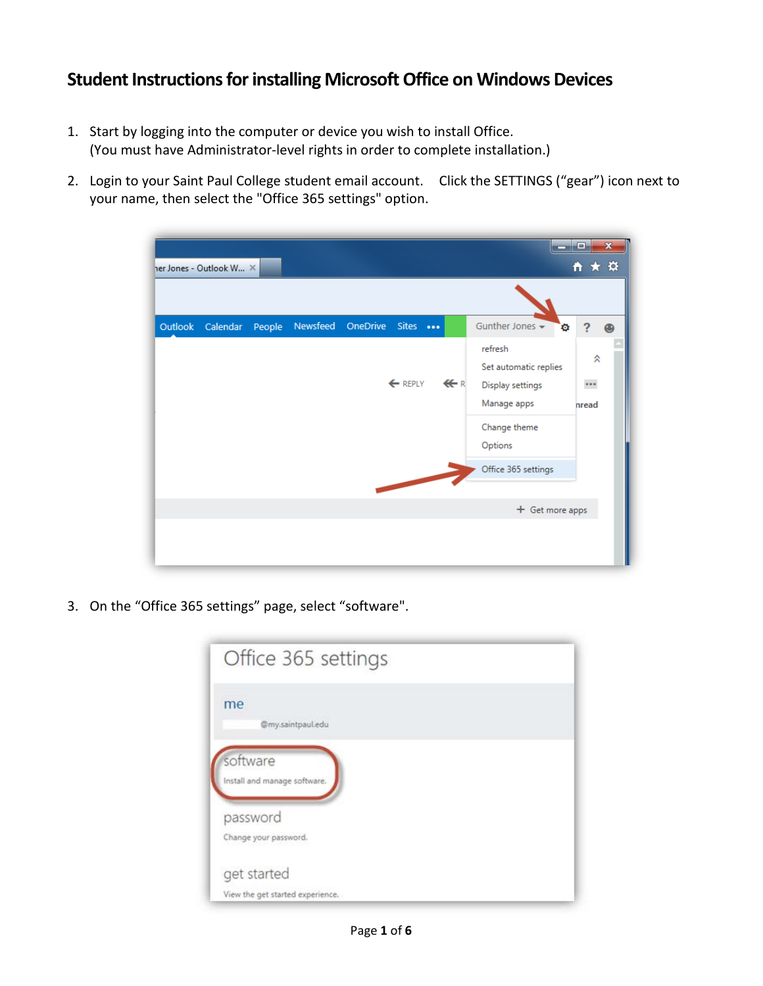## **Student Instructions for installing Microsoft Office on Windows Devices**

- 1. Start by logging into the computer or device you wish to install Office. (You must have Administrator-level rights in order to complete installation.)
- 2. Login to your Saint Paul College student email account. Click the SETTINGS ("gear") icon next to your name, then select the "Office 365 settings" option.

| her Jones - Outlook W X |          |                                                                                                                                                                                                                                      |                |                                                                                                                                    | $\mathbf{x}$<br>E<br>☆★☆                   |
|-------------------------|----------|--------------------------------------------------------------------------------------------------------------------------------------------------------------------------------------------------------------------------------------|----------------|------------------------------------------------------------------------------------------------------------------------------------|--------------------------------------------|
|                         |          |                                                                                                                                                                                                                                      |                |                                                                                                                                    |                                            |
| Outlook Calendar People | Newsfeed | OneDrive Sites<br>← REPLY                                                                                                                                                                                                            | $\leftarrow$ R | Gunther Jones $\rightarrow$<br>۰<br>refresh<br>Set automatic replies<br>Display settings<br>Manage apps<br>Change theme<br>Options | ?<br>$\bigoplus$<br>⋩<br>$\cdots$<br>hread |
|                         |          | <b>Contract Contract Contract Contract Contract Contract Contract Contract Contract Contract Contract Contract Contract Contract Contract Contract Contract Contract Contract Contract Contract Contract Contract Contract Contr</b> |                | Office 365 settings<br>+ Get more apps                                                                                             |                                            |

3. On the "Office 365 settings" page, select "software".

| Office 365 settings                      |  |  |
|------------------------------------------|--|--|
| me<br>@my.saintpaul.edu                  |  |  |
| software<br>Install and manage software. |  |  |
| password                                 |  |  |
| Change your password.                    |  |  |
| get started                              |  |  |
| View the get started experience.         |  |  |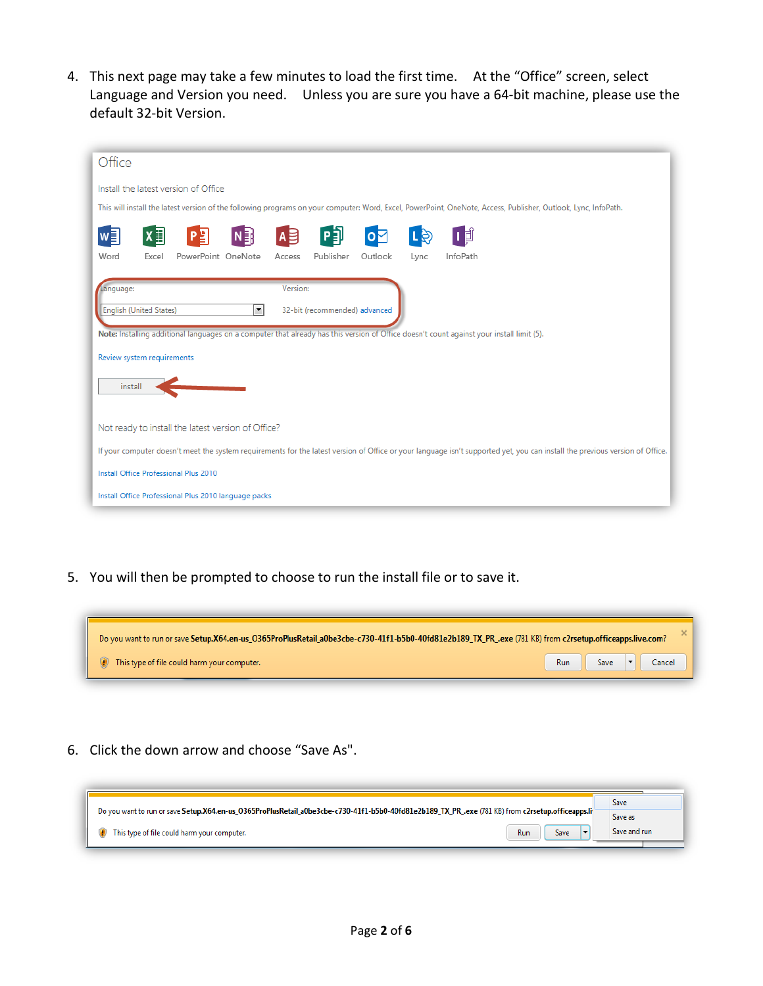4. This next page may take a few minutes to load the first time. At the "Office" screen, select Language and Version you need. Unless you are sure you have a 64-bit machine, please use the default 32-bit Version.

| Office                                                                                                                                                                       |
|------------------------------------------------------------------------------------------------------------------------------------------------------------------------------|
| Install the latest version of Office                                                                                                                                         |
| This will install the latest version of the following programs on your computer: Word, Excel, PowerPoint, OneNote, Access, Publisher, Outlook, Lync, InfoPath.               |
| A B<br>Ⅰ间<br>X<br>N≣                                                                                                                                                         |
| PowerPoint OneNote<br>Publisher<br>InfoPath<br>Word<br>Outlook<br>Excel<br>Access<br>Lync                                                                                    |
| Version:<br>Language:                                                                                                                                                        |
| $\blacktriangledown$<br><b>English (United States)</b><br>32-bit (recommended) advanced                                                                                      |
| Note: Installing additional languages on a computer that already has this version of Office doesn't count against your install limit (5).                                    |
| Review system requirements                                                                                                                                                   |
| install                                                                                                                                                                      |
|                                                                                                                                                                              |
| Not ready to install the latest version of Office?                                                                                                                           |
| If your computer doesn't meet the system requirements for the latest version of Office or your language isn't supported yet, you can install the previous version of Office. |
| Install Office Professional Plus 2010                                                                                                                                        |
| Install Office Professional Plus 2010 language packs                                                                                                                         |

5. You will then be prompted to choose to run the install file or to save it.



6. Click the down arrow and choose "Save As".

|                                                                                                                                                   | <b>Save</b>  |
|---------------------------------------------------------------------------------------------------------------------------------------------------|--------------|
| Do you want to run or save Setup.X64.en-us_O365ProPlusRetail_a0be3cbe-c730-41f1-b5b0-40fd81e2b189_TX_PR_.exe (781 KB) from c2rsetup.officeapps.li | Save as      |
| This type of file could harm your computer.<br>Run<br>Save                                                                                        | Save and run |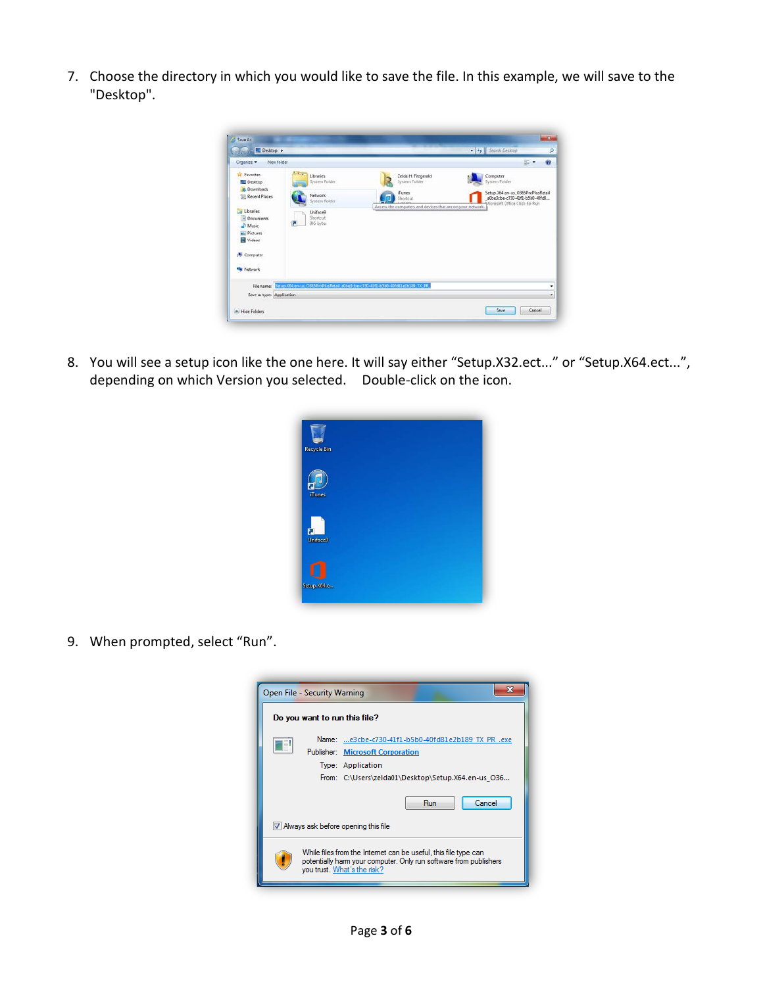7. Choose the directory in which you would like to save the file. In this example, we will save to the "Desktop".



8. You will see a setup icon like the one here. It will say either "Setup.X32.ect..." or "Setup.X64.ect...", depending on which Version you selected. Double-click on the icon.

| <b>Recycle Bin</b>  |  |  |  |
|---------------------|--|--|--|
| iTunes              |  |  |  |
| ធ<br><b>Uniface</b> |  |  |  |
| Setup.X64.e         |  |  |  |

9. When prompted, select "Run".

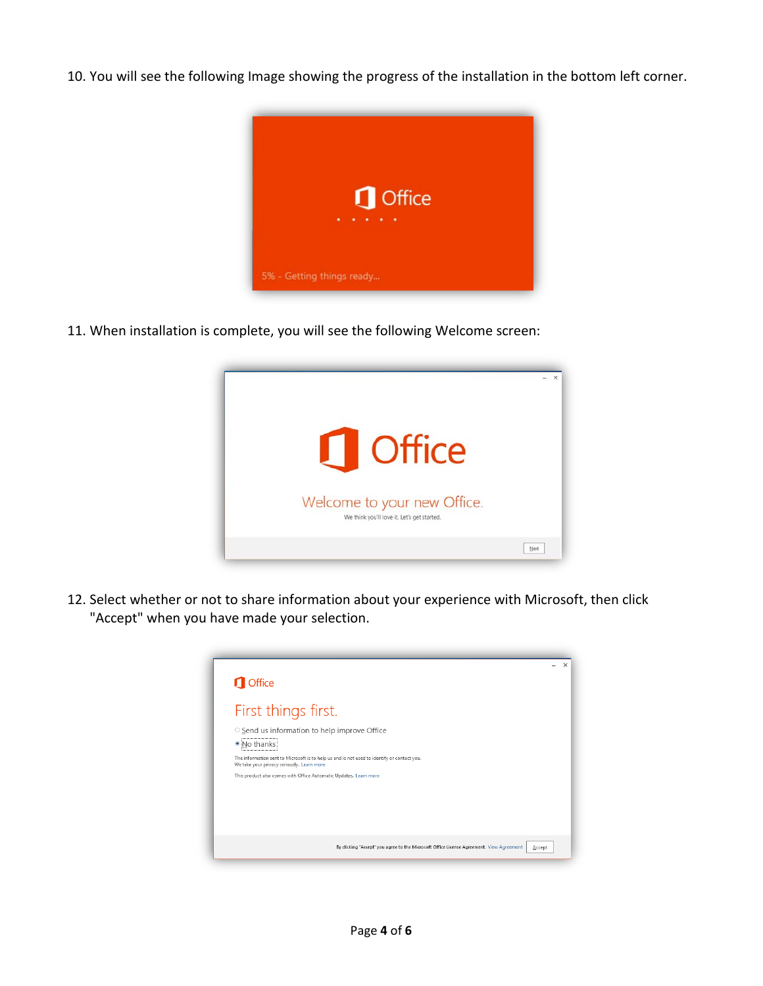10. You will see the following Image showing the progress of the installation in the bottom left corner.



11. When installation is complete, you will see the following Welcome screen:



12. Select whether or not to share information about your experience with Microsoft, then click "Accept" when you have made your selection.

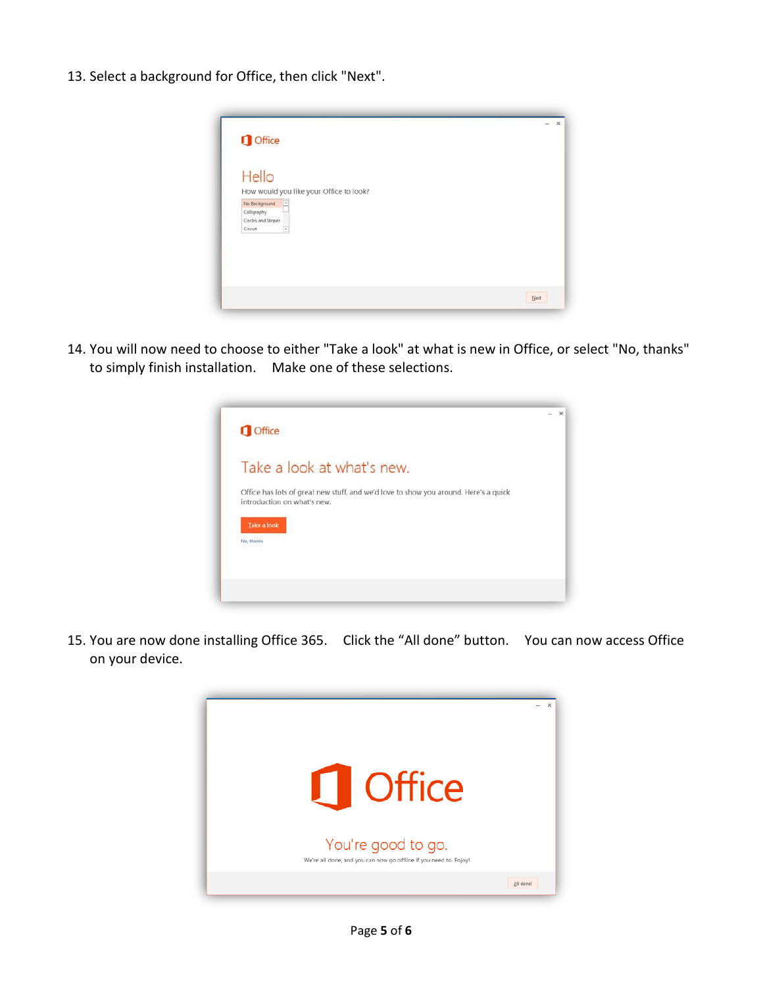13. Select a background for Office, then click "Next".



14. You will now need to choose to either "Take a look" at what is new in Office, or select "No, thanks" to simply finish installation. Make one of these selections.



15. You are now done installing Office 365. Click the "All done" button. You can now access Office on your device.